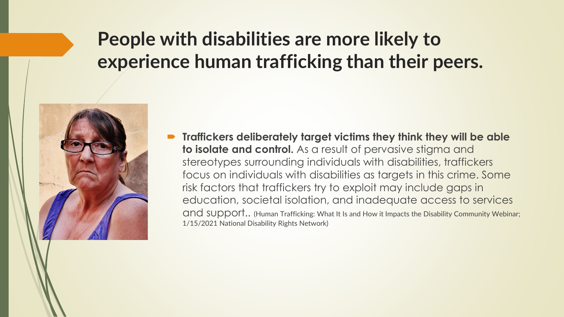### **People with disabilities are more likely to experience human trafficking than their peers.**



 **Traffickers deliberately target victims they think they will be able to isolate and control.** As a result of pervasive stigma and stereotypes surrounding individuals with disabilities, traffickers focus on individuals with disabilities as targets in this crime. Some risk factors that traffickers try to exploit may include gaps in education, societal isolation, and inadequate access to services and support.. (Human Trafficking: What It Is and How it Impacts the Disability Community Webinar; 1/15/2021 National Disability Rights Network)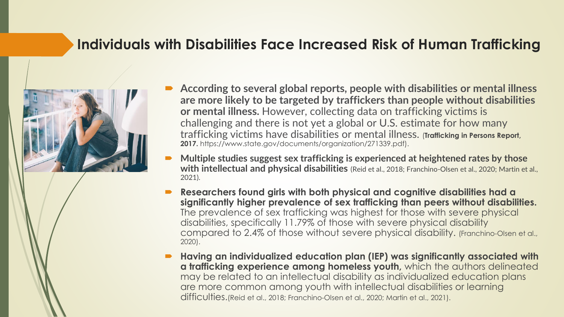#### **Individuals with Disabilities Face Increased Risk of Human Trafficking**



- **According to several global reports, people with disabilities or mental illness are more likely to be targeted by traffickers than people without disabilities or mental illness.** However, collecting data on trafficking victims is challenging and there is not yet a global or U.S. estimate for how many trafficking victims have disabilities or mental illness. (**Trafficking in Persons Report, 2017.** https://www.state.gov/documents/organization/271339.pdf).
- **Multiple studies suggest sex trafficking is experienced at heightened rates by those with intellectual and physical disabilities** (Reid et al., 2018; Franchino-Olsen et al., 2020; Martin et al., 2021).
- **Researchers found girls with both physical and cognitive disabilities had a significantly higher prevalence of sex trafficking than peers without disabilities.**  The prevalence of sex trafficking was highest for those with severe physical disabilities, specifically 11.79% of those with severe physical disability compared to 2.4% of those without severe physical disability. (Franchino-Olsen et al., 2020).
- **Having an individualized education plan (IEP) was significantly associated with a trafficking experience among homeless youth,** which the authors delineated may be related to an intellectual disability as individualized education plans are more common among youth with intellectual disabilities or learning difficulties.(Reid et al., 2018; Franchino-Olsen et al., 2020; Martin et al., 2021).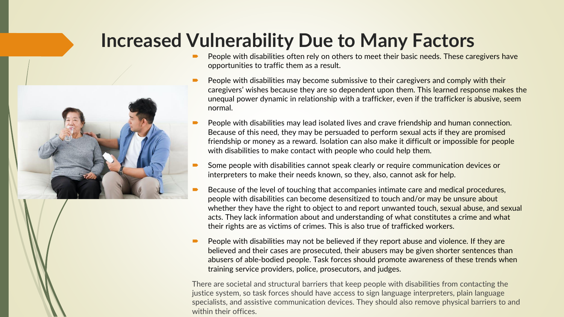#### **Increased Vulnerability Due to Many Factors**

- People with disabilities often rely on others to meet their basic needs. These caregivers have opportunities to traffic them as a result.
- People with disabilities may become submissive to their caregivers and comply with their caregivers' wishes because they are so dependent upon them. This learned response makes the unequal power dynamic in relationship with a trafficker, even if the trafficker is abusive, seem normal.
- People with disabilities may lead isolated lives and crave friendship and human connection. Because of this need, they may be persuaded to perform sexual acts if they are promised friendship or money as a reward. Isolation can also make it difficult or impossible for people with disabilities to make contact with people who could help them.
- Some people with disabilities cannot speak clearly or require communication devices or interpreters to make their needs known, so they, also, cannot ask for help.
- Because of the level of touching that accompanies intimate care and medical procedures, people with disabilities can become desensitized to touch and/or may be unsure about whether they have the right to object to and report unwanted touch, sexual abuse, and sexual acts. They lack information about and understanding of what constitutes a crime and what their rights are as victims of crimes. This is also true of trafficked workers.
- $\blacksquare$  People with disabilities may not be believed if they report abuse and violence. If they are believed and their cases are prosecuted, their abusers may be given shorter sentences than abusers of able-bodied people. Task forces should promote awareness of these trends when training service providers, police, prosecutors, and judges.

There are societal and structural barriers that keep people with disabilities from contacting the justice system, so task forces should have access to sign language interpreters, plain language specialists, and assistive communication devices. They should also remove physical barriers to and within their offices.